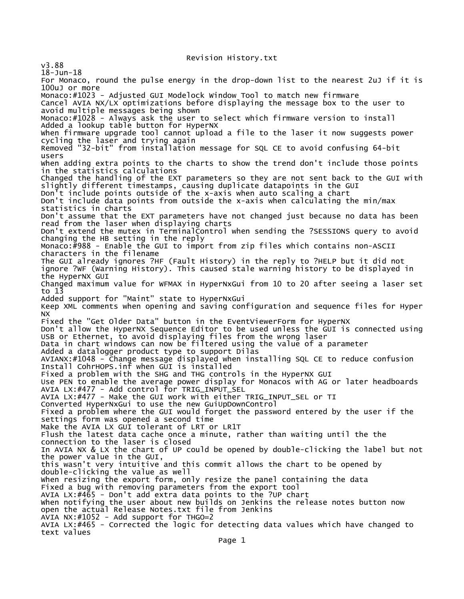Revision History.txt

v3.88 18-Jun-18 For Monaco, round the pulse energy in the drop-down list to the nearest 2uJ if it is 100uJ or more Monaco:#1023 - Adjusted GUI Modelock Window Tool to match new firmware Cancel AVIA NX/LX optimizations before displaying the message box to the user to avoid multiple messages being shown Monaco:#1028 - Always ask the user to select which firmware version to install Added a lookup table button for HyperNX When firmware upgrade tool cannot upload a file to the laser it now suggests power cycling the laser and trying again Removed "32-bit" from installation message for SQL CE to avoid confusing 64-bit users When adding extra points to the charts to show the trend don't include those points in the statistics calculations Changed the handling of the EXT parameters so they are not sent back to the GUI with slightly different timestamps, causing duplicate datapoints in the GUI Don't include points outside of the x-axis when auto scaling a chart Don't include data points from outside the x-axis when calculating the min/max statistics in charts Don't assume that the EXT parameters have not changed just because no data has been read from the laser when displaying charts Don't extend the mutex in TerminalControl when sending the ?SESSIONS query to avoid changing the HB setting in the reply Monaco:#988 - Enable the GUI to import from zip files which contains non-ASCII characters in the filename The GUI already ignores ?HF (Fault History) in the reply to ?HELP but it did not ignore ?WF (Warning History). This caused stale warning history to be displayed in the HyperNX GUI Changed maximum value for WFMAX in HyperNxGui from 10 to 20 after seeing a laser set to 13 Added support for "Maint" state to HyperNxGui Keep XML comments when opening and saving configuration and sequence files for Hyper NX Fixed the "Get Older Data" button in the EventViewerForm for HyperNX Don't allow the HyperNX Sequence Editor to be used unless the GUI is connected using USB or Ethernet, to avoid displaying files from the wrong laser Data in chart windows can now be filtered using the value of a parameter Added a datalogger product type to support Dilas AVIANX:#1048 - Change message displayed when installing SQL CE to reduce confusion Install CohrHOPS.inf when GUI is installed Fixed a problem with the SHG and THG controls in the HyperNX GUI Use PEN to enable the average power display for Monacos with AG or later headboards AVIA LX:#477 - Add control for TRIG\_INPUT\_SEL AVIA LX:#477 - Make the GUI work with either TRIG\_INPUT\_SEL or TI Converted HyperNxGui to use the new GuiUpDownControl Fixed a problem where the GUI would forget the password entered by the user if the settings form was opened a second time Make the AVIA LX GUI tolerant of LRT or LR1T Flush the latest data cache once a minute, rather than waiting until the the connection to the laser is closed In AVIA NX & LX the chart of UP could be opened by double-clicking the label but not the power value in the GUI, this wasn't very intuitive and this commit allows the chart to be opened by double-clicking the value as well When resizing the export form, only resize the panel containing the data Fixed a bug with removing parameters from the export tool AVIA LX:#465 - Don't add extra data points to the ?UP chart When notifying the user about new builds on Jenkins the release notes button now open the actual Release Notes.txt file from Jenkins AVIA NX:#1052 - Add support for THGO=2 AVIA LX:#465 - Corrected the logic for detecting data values which have changed to text values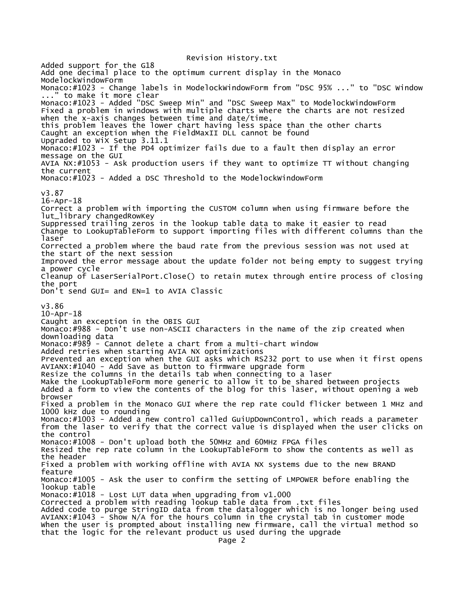Revision History.txt Added support for the G18 Add one decimal place to the optimum current display in the Monaco ModelockWindowForm Monaco:#1023 - Change labels in ModelockWindowForm from "DSC 95% ..." to "DSC Window ..." to make it more clear Monaco:#1023 - Added "DSC Sweep Min" and "DSC Sweep Max" to ModelockWindowForm Fixed a problem in windows with multiple charts where the charts are not resized when the x-axis changes between time and date/time, this problem leaves the lower chart having less space than the other charts Caught an exception when the FieldMaxII DLL cannot be found Upgraded to WiX Setup 3.11.1 Monaco:#1023 - If the PD4 optimizer fails due to a fault then display an error message on the GUI AVIA NX:#1053 - Ask production users if they want to optimize TT without changing the current Monaco:#1023 - Added a DSC Threshold to the ModelockWindowForm v3.87 16-Apr-18 Correct a problem with importing the CUSTOM column when using firmware before the lut\_library changedRowKey Suppressed trailing zeros in the lookup table data to make it easier to read Change to LookupTableForm to support importing files with different columns than the laser Corrected a problem where the baud rate from the previous session was not used at the start of the next session Improved the error message about the update folder not being empty to suggest trying a power cycle Cleanup of LaserSerialPort.Close() to retain mutex through entire process of closing the port Don't send GUI= and EN=1 to AVIA Classic v3.86 10-Apr-18 Caught an exception in the OBIS GUI Monaco:#988 - Don't use non-ASCII characters in the name of the zip created when downloading data Monaco:#989 - Cannot delete a chart from a multi-chart window Added retries when starting AVIA NX optimizations Prevented an exception when the GUI asks which RS232 port to use when it first opens AVIANX:#1040 - Add Save as button to firmware upgrade form Resize the columns in the details tab when connecting to a laser Make the LookupTableForm more generic to allow it to be shared between projects Added a form to view the contents of the blog for this laser, without opening a web browser Fixed a problem in the Monaco GUI where the rep rate could flicker between 1 MHz and 1000 kHz due to rounding Monaco:#1003 - Added a new control called GuiUpDownControl, which reads a parameter from the laser to verify that the correct value is displayed when the user clicks on the control Monaco:#1008 - Don't upload both the 50MHz and 60MHz FPGA files Resized the rep rate column in the LookupTableForm to show the contents as well as the header Fixed a problem with working offline with AVIA NX systems due to the new BRAND feature Monaco:#1005 - Ask the user to confirm the setting of LMPOWER before enabling the lookup table Monaco:#1018 - Lost LUT data when upgrading from v1.000 Corrected a problem with reading lookup table data from .txt files Added code to purge StringID data from the datalogger which is no longer being used AVIANX:#1043 - Show N/A for the hours column in the crystal tab in customer mode When the user is prompted about installing new firmware, call the virtual method so that the logic for the relevant product us used during the upgrade Page 2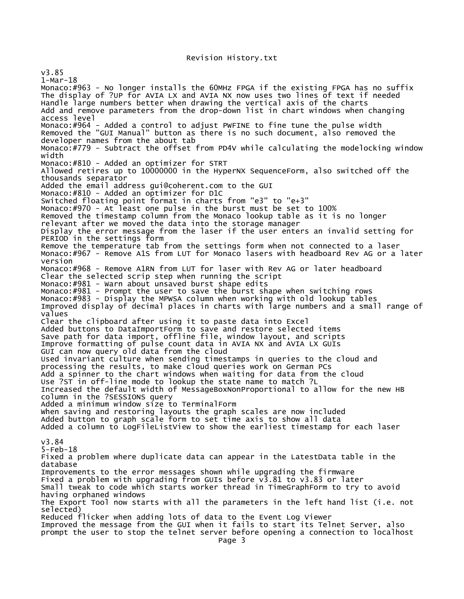## Revision History.txt

v3.85 1-Mar-18 Monaco:#963 - No longer installs the 60MHz FPGA if the existing FPGA has no suffix The display of ?UP for AVIA LX and AVIA NX now uses two lines of text if needed Handle large numbers better when drawing the vertical axis of the charts Add and remove parameters from the drop-down list in chart windows when changing access level Monaco:#964 - Added a control to adjust PWFINE to fine tune the pulse width Removed the "GUI Manual" button as there is no such document, also removed the developer names from the about tab Monaco:#779 - Subtract the offset from PD4V while calculating the modelocking window width Monaco:#810 - Added an optimizer for STRT Allowed retires up to 10000000 in the HyperNX SequenceForm, also switched off the thousands separator Added the email address gui@coherent.com to the GUI Monaco:#810 - Added an optimizer for D1C Switched floating point format in charts from "e3" to "e+3" Monaco:#970 - At least one pulse in the burst must be set to 100% Removed the timestamp column from the Monaco lookup table as it is no longer relevant after we moved the data into the storage manager Display the error message from the laser if the user enters an invalid setting for PERIOD in the settings form Remove the temperature tab from the settings form when not connected to a laser Monaco:#967 - Remove A1S from LUT for Monaco lasers with headboard Rev AG or a later version Monaco:#968 - Remove A1RN from LUT for laser with Rev AG or later headboard Clear the selected scrip step when running the script Monaco:#981 - Warn about unsaved burst shape edits Monaco:#981 - Prompt the user to save the burst shape when switching rows Monaco:#983 - Display the MPWSA column when working with old lookup tables Improved display of decimal places in charts with large numbers and a small range of values Clear the clipboard after using it to paste data into Excel Added buttons to DataImportForm to save and restore selected items Save path for data import, offline file, window layout, and scripts Improve formatting of pulse count data in AVIA NX and AVIA LX GUIs GUI can now query old data from the cloud Used invariant culture when sending timestamps in queries to the cloud and processing the results, to make cloud queries work on German PCs Add a spinner to the chart windows when waiting for data from the cloud Use ?ST in off-line mode to lookup the state name to match ?L Increased the default width of MessageBoxNonProportional to allow for the new HB column in the ?SESSIONS query Added a minimum window size to TerminalForm When saving and restoring layouts the graph scales are now included Added button to graph scale form to set time axis to show all data Added a column to LogFileListView to show the earliest timestamp for each laser v3.84 5-Feb-18 Fixed a problem where duplicate data can appear in the LatestData table in the database Improvements to the error messages shown while upgrading the firmware Fixed a problem with upgrading from GUIs before  $v\overline{3}.81$  to  $v\overline{3}.83$  or later Small tweak to code which starts worker thread in TimeGraphForm to try to avoid having orphaned windows The Export Tool now starts with all the parameters in the left hand list (i.e. not selected) Reduced flicker when adding lots of data to the Event Log Viewer Improved the message from the GUI when it fails to start its Telnet Server, also prompt the user to stop the telnet server before opening a connection to localhost Page 3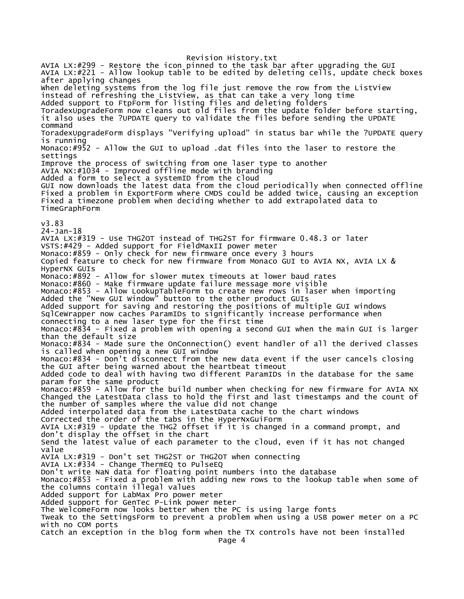Revision History.txt AVIA LX:#299 - Restore the icon pinned to the task bar after upgrading the GUI AVIA LX:#221 - Allow lookup table to be edited by deleting cells, update check boxes after applying changes When deleting systems from the log file just remove the row from the ListView instead of refreshing the ListView, as that can take a very long time Added support to FtpForm for listing files and deleting folders ToradexUpgradeForm now cleans out old files from the update folder before starting, it also uses the ?UPDATE query to validate the files before sending the UPDATE command ToradexUpgradeForm displays "Verifying upload" in status bar while the ?UPDATE query is running Monaco:#952 - Allow the GUI to upload .dat files into the laser to restore the settings Improve the process of switching from one laser type to another AVIA NX:#1034 - Improved offline mode with branding Added a form to select a systemID from the cloud GUI now downloads the latest data from the cloud periodically when connected offline Fixed a problem in ExportForm where CMDS could be added twice, causing an exception Fixed a timezone problem when deciding whether to add extrapolated data to TimeGraphForm v3.83 24-Jan-18 AVIA LX:#319 - Use THG2OT instead of THG2ST for firmware 0.48.3 or later VSTS:#429 - Added support for FieldMaxII power meter Monaco:#859 - Only check for new firmware once every 3 hours Copied feature to check for new firmware from Monaco GUI to AVIA NX, AVIA LX & HyperNX GUIs Monaco:#892 - Allow for slower mutex timeouts at lower baud rates Monaco:#860 - Make firmware update failure message more visible Monaco:#853 - Allow LookupTableForm to create new rows in laser when importing Added the "New GUI Window" button to the other product GUIs Added support for saving and restoring the positions of multiple GUI windows SqlCeWrapper now caches ParamIDs to significantly increase performance when connecting to a new laser type for the first time Monaco:#834 - Fixed a problem with opening a second GUI when the main GUI is larger than the default size Monaco:#834 - Made sure the OnConnection() event handler of all the derived classes is called when opening a new GUI window Monaco:#834 - Don't disconnect from the new data event if the user cancels closing the GUI after being warned about the heartbeat timeout Added code to deal with having two different ParamIDs in the database for the same param for the same product Monaco:#859 - Allow for the build number when checking for new firmware for AVIA NX Changed the LatestData class to hold the first and last timestamps and the count of the number of samples where the value did not change Added interpolated data from the LatestData cache to the chart windows Corrected the order of the tabs in the HyperNxGuiForm AVIA LX:#319 - Update the THG2 offset if it is changed in a command prompt, and don't display the offset in the chart Send the latest value of each parameter to the cloud, even if it has not changed value AVIA LX:#319 - Don't set THG2ST or THG2OT when connecting AVIA LX:#334 - Change ThermEQ to PulseEQ Don't write NaN data for floating point numbers into the database Monaco:#853 - Fixed a problem with adding new rows to the lookup table when some of the columns contain illegal values Added support for LabMax Pro power meter Added support for GenTec P-Link power meter The WelcomeForm now looks better when the PC is using large fonts Tweak to the SettingsForm to prevent a problem when using a USB power meter on a PC with no COM ports Catch an exception in the blog form when the TX controls have not been installed Page 4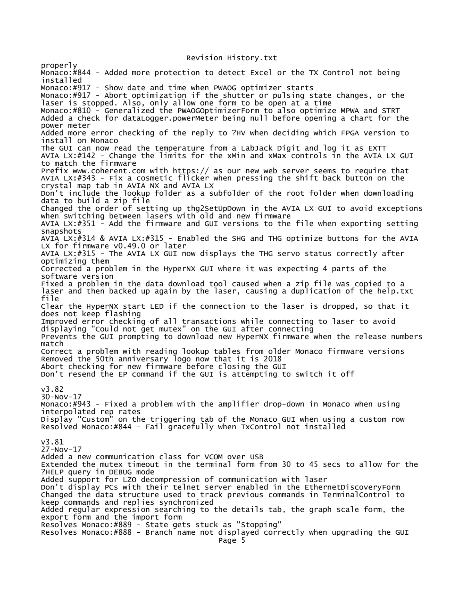## Revision History.txt

properly Monaco:#844 - Added more protection to detect Excel or the TX Control not being installed Monaco:#917 - Show date and time when PWAOG optimizer starts Monaco:#917 - Abort optimization if the shutter or pulsing state changes, or the laser is stopped. Also, only allow one form to be open at a time Monaco:#810 - Generalized the PWAOGOptimizerForm to also optimize MPWA and STRT Added a check for dataLogger.powerMeter being null before opening a chart for the power meter Added more error checking of the reply to ?HV when deciding which FPGA version to install on Monaco The GUI can now read the temperature from a LabJack Digit and log it as EXTT AVIA LX:#142 - Change the limits for the xMin and xMax controls in the AVIA LX GUI to match the firmware Prefix www.coherent.com with https:// as our new web server seems to require that AVIA LX:#343 - Fix a cosmetic flicker when pressing the shift back button on the crystal map tab in AVIA NX and AVIA LX Don't include the lookup folder as a subfolder of the root folder when downloading data to build a zip file Changed the order of setting up thg2SetUpDown in the AVIA LX GUI to avoid exceptions when switching between lasers with old and new firmware AVIA LX: $#351$   $\overline{\phantom{a}}$  Add the firmware and GUI versions to the file when exporting setting snapshots AVIA LX:#314 & AVIA LX:#315 - Enabled the SHG and THG optimize buttons for the AVIA LX for firmware v0.49.0 or later AVIA LX:#315 - The AVIA LX GUI now displays the THG servo status correctly after optimizing them Corrected a problem in the HyperNX GUI where it was expecting 4 parts of the software version Fixed a problem in the data download tool caused when a zip file was copied to a laser and then backed up again by the laser, causing a duplication of the help.txt file Clear the HyperNX start LED if the connection to the laser is dropped, so that it does not keep flashing Improved error checking of all transactions while connecting to laser to avoid displaying "Could not get mutex" on the GUI after connecting Prevents the GUI prompting to download new HyperNX firmware when the release numbers match Correct a problem with reading lookup tables from older Monaco firmware versions Removed the 50th anniversary logo now that it is 2018 Abort checking for new firmware before closing the GUI Don't resend the EP command if the GUI is attempting to switch it off v3.82 30-Nov-17 Monaco:#943 - Fixed a problem with the amplifier drop-down in Monaco when using interpolated rep rates Display "Custom" on the triggering tab of the Monaco GUI when using a custom row Resolved Monaco:#844 - Fail gracefully when TxControl not installed v3.81 27-Nov-17 Added a new communication class for VCOM over USB Extended the mutex timeout in the terminal form from 30 to 45 secs to allow for the ?HELP query in DEBUG mode Added support for LZO decompression of communication with laser Don't display PCs with their telnet server enabled in the EthernetDiscoveryForm Changed the data structure used to track previous commands in TerminalControl to keep commands and replies synchronized Added regular expression searching to the details tab, the graph scale form, the export form and the import form Resolves Monaco:#889 - State gets stuck as "Stopping" Resolves Monaco:#888 - Branch name not displayed correctly when upgrading the GUI Page 5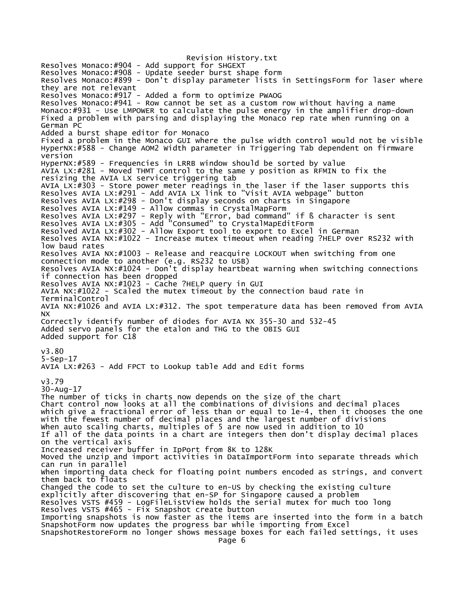Revision History.txt Resolves Monaco:#904 - Add support for SHGEXT Resolves Monaco:#908 - Update seeder burst shape form Resolves Monaco:#899 - Don't display parameter lists in SettingsForm for laser where they are not relevant Resolves Monaco:#917 - Added a form to optimize PWAOG Resolves Monaco:#941 - Row cannot be set as a custom row without having a name Monaco:#931 - Use LMPOWER to calculate the pulse energy in the amplifier drop-down Fixed a problem with parsing and displaying the Monaco rep rate when running on a German PC Added a burst shape editor for Monaco Fixed a problem in the Monaco GUI where the pulse width control would not be visible HyperNX:#588 - Change AOM2 Width parameter in Triggering Tab dependent on firmware version HyperNX:#589 - Frequencies in LRRB window should be sorted by value AVIA LX:#281 - Moved THMT control to the same y position as RFMIN to fix the resizing the AVIA LX service triggering tab AVIA LX:#303 - Store power meter readings in the laser if the laser supports this Resolves AVIA LX:#291 - Add AVIA LX link to "Visit AVIA webpage" button Resolves AVIA LX:#298 - Don't display seconds on charts in Singapore Resolves AVIA LX:#149 - Allow commas in CrystalMapForm Resolves AVIA LX:#297 - Reply with "Error, bad command" if ß character is sent Resolves AVIA LX:#305 - Add "Consumed" to CrystalMapEditForm Resolved AVIA LX:#302 - Allow Export tool to export to Excel in German Resolves AVIA NX:#1022 - Increase mutex timeout when reading ?HELP over RS232 with low baud rates Resolves AVIA NX:#1003 - Release and reacquire LOCKOUT when switching from one connection mode to another (e.g. RS232 to USB) Resolves AVIA NX:#1024 - Don't display heartbeat warning when switching connections if connection has been dropped Resolves AVIA NX:#1023 - Cache ?HELP query in GUI AVIA NX:#1022 - Scaled the mutex timeout by the connection baud rate in TerminalControl AVIA NX:#1026 and AVIA LX:#312. The spot temperature data has been removed from AVIA NX Correctly identify number of diodes for AVIA NX 355-30 and 532-45 Added servo panels for the etalon and THG to the OBIS GUI Added support for C18 v3.80 5-Sep-17 AVIA LX:#263 - Add FPCT to Lookup table Add and Edit forms v3.79 30-Aug-17 The number of ticks in charts now depends on the size of the chart Chart control now looks at all the combinations of divisions and decimal places which give a fractional error of less than or equal to 1e-4, then it chooses the one with the fewest number of decimal places and the largest number of divisions When auto scaling charts, multiples of 5 are now used in addition to 10 If all of the data points in a chart are integers then don't display decimal places on the vertical axis Increased receiver buffer in IpPort from 8K to 128K Moved the unzip and import activities in DataImportForm into separate threads which can run in parallel When importing data check for floating point numbers encoded as strings, and convert them back to floats Changed the code to set the culture to en-US by checking the existing culture explicitly after discovering that en-SP for Singapore caused a problem Resolves VSTS #459 - LogFileListView holds the serial mutex for much too long Resolves VSTS #465 - Fix Snapshot create button Importing snapshots is now faster as the items are inserted into the form in a batch SnapshotForm now updates the progress bar while importing from Excel SnapshotRestoreForm no longer shows message boxes for each failed settings, it uses Page 6